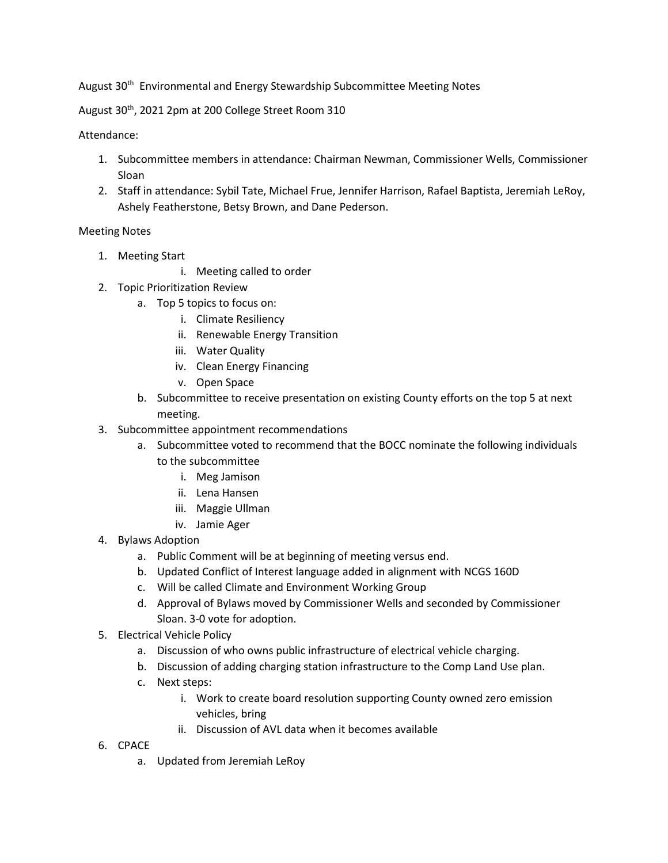August 30<sup>th</sup> Environmental and Energy Stewardship Subcommittee Meeting Notes

August 30<sup>th</sup>, 2021 2pm at 200 College Street Room 310

## Attendance:

- 1. Subcommittee members in attendance: Chairman Newman, Commissioner Wells, Commissioner Sloan
- 2. Staff in attendance: Sybil Tate, Michael Frue, Jennifer Harrison, Rafael Baptista, Jeremiah LeRoy, Ashely Featherstone, Betsy Brown, and Dane Pederson.

## Meeting Notes

- 1. Meeting Start
	- i. Meeting called to order
- 2. Topic Prioritization Review
	- a. Top 5 topics to focus on:
		- i. Climate Resiliency
		- ii. Renewable Energy Transition
		- iii. Water Quality
		- iv. Clean Energy Financing
		- v. Open Space
	- b. Subcommittee to receive presentation on existing County efforts on the top 5 at next meeting.
- 3. Subcommittee appointment recommendations
	- a. Subcommittee voted to recommend that the BOCC nominate the following individuals to the subcommittee
		- i. Meg Jamison
		- ii. Lena Hansen
		- iii. Maggie Ullman
		- iv. Jamie Ager
- 4. Bylaws Adoption
	- a. Public Comment will be at beginning of meeting versus end.
	- b. Updated Conflict of Interest language added in alignment with NCGS 160D
	- c. Will be called Climate and Environment Working Group
	- d. Approval of Bylaws moved by Commissioner Wells and seconded by Commissioner Sloan. 3-0 vote for adoption.
- 5. Electrical Vehicle Policy
	- a. Discussion of who owns public infrastructure of electrical vehicle charging.
	- b. Discussion of adding charging station infrastructure to the Comp Land Use plan.
	- c. Next steps:
		- i. Work to create board resolution supporting County owned zero emission vehicles, bring
		- ii. Discussion of AVL data when it becomes available
- 6. CPACE
	- a. Updated from Jeremiah LeRoy